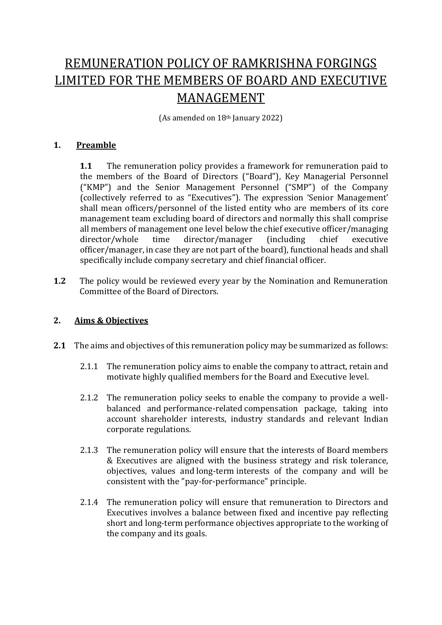# REMUNERATION POLICY OF RAMKRISHNA FORGINGS LIMITED FOR THE MEMBERS OF BOARD AND EXECUTIVE MANAGEMENT

(As amended on 18th January 2022)

## **1. Preamble**

**1.1** The remuneration policy provides a framework for remuneration paid to the members of the Board of Directors ("Board"), Key Managerial Personnel ("KMP") and the Senior Management Personnel ("SMP") of the Company (collectively referred to as "Executives"). The expression 'Senior Management' shall mean officers/personnel of the listed entity who are members of its core management team excluding board of directors and normally this shall comprise all members of management one level below the chief executive officer/managing director/whole time director/manager (including chief executive officer/manager, in case they are not part of the board), functional heads and shall specifically include company secretary and chief financial officer.

**1.2** The policy would be reviewed every year by the Nomination and Remuneration Committee of the Board of Directors.

## **2. Aims & Objectives**

- **2.1** The aims and objectives of this remuneration policy may be summarized as follows:
	- 2.1.1 The remuneration policy aims to enable the company to attract, retain and motivate highly qualified members for the Board and Executive level.
	- 2.1.2 The remuneration policy seeks to enable the company to provide a wellbalanced and performance-related compensation package, taking into account shareholder interests, industry standards and relevant Indian corporate regulations.
	- 2.1.3 The remuneration policy will ensure that the interests of Board members & Executives are aligned with the business strategy and risk tolerance, objectives, values and long-term interests of the company and will be consistent with the "pay-for-performance" principle.
	- 2.1.4 The remuneration policy will ensure that remuneration to Directors and Executives involves a balance between fixed and incentive pay reflecting short and long-term performance objectives appropriate to the working of the company and its goals.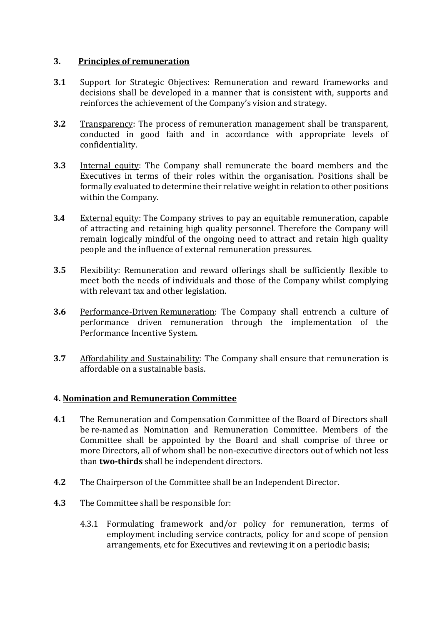## **3. Principles of remuneration**

- **3.1** Support for Strategic Objectives: Remuneration and reward frameworks and decisions shall be developed in a manner that is consistent with, supports and reinforces the achievement of the Company's vision and strategy.
- **3.2** Transparency: The process of remuneration management shall be transparent, conducted in good faith and in accordance with appropriate levels of confidentiality.
- **3.3** Internal equity: The Company shall remunerate the board members and the Executives in terms of their roles within the organisation. Positions shall be formally evaluated to determine their relative weight in relation to other positions within the Company.
- **3.4** External equity: The Company strives to pay an equitable remuneration, capable of attracting and retaining high quality personnel. Therefore the Company will remain logically mindful of the ongoing need to attract and retain high quality people and the influence of external remuneration pressures.
- **3.5** Flexibility: Remuneration and reward offerings shall be sufficiently flexible to meet both the needs of individuals and those of the Company whilst complying with relevant tax and other legislation.
- **3.6** Performance-Driven Remuneration: The Company shall entrench a culture of performance driven remuneration through the implementation of the Performance Incentive System.
- **3.7** Affordability and Sustainability: The Company shall ensure that remuneration is affordable on a sustainable basis.

## **4. Nomination and Remuneration Committee**

- **4.1** The Remuneration and Compensation Committee of the Board of Directors shall be re-named as Nomination and Remuneration Committee. Members of the Committee shall be appointed by the Board and shall comprise of three or more Directors, all of whom shall be non-executive directors out of which not less than **two-thirds** shall be independent directors.
- **4.2** The Chairperson of the Committee shall be an Independent Director.
- **4.3** The Committee shall be responsible for:
	- 4.3.1 Formulating framework and/or policy for remuneration, terms of employment including service contracts, policy for and scope of pension arrangements, etc for Executives and reviewing it on a periodic basis;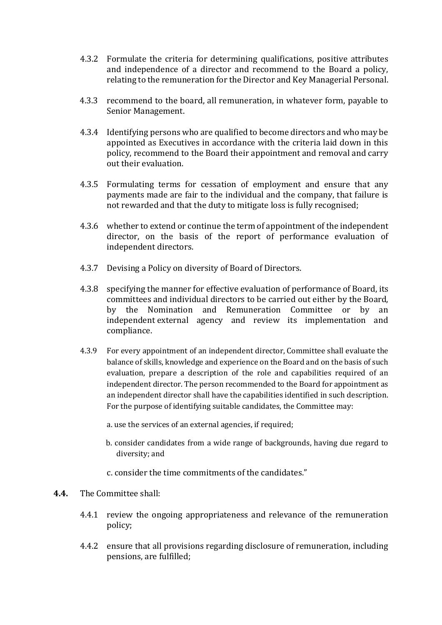- 4.3.2 Formulate the criteria for determining qualifications, positive attributes and independence of a director and recommend to the Board a policy, relating to the remuneration for the Director and Key Managerial Personal.
- 4.3.3 recommend to the board, all remuneration, in whatever form, payable to Senior Management.
- 4.3.4 Identifying persons who are qualified to become directors and who may be appointed as Executives in accordance with the criteria laid down in this policy, recommend to the Board their appointment and removal and carry out their evaluation.
- 4.3.5 Formulating terms for cessation of employment and ensure that any payments made are fair to the individual and the company, that failure is not rewarded and that the duty to mitigate loss is fully recognised;
- 4.3.6 whether to extend or continue the term of appointment of the independent director, on the basis of the report of performance evaluation of independent directors.
- 4.3.7 Devising a Policy on diversity of Board of Directors.
- 4.3.8 specifying the manner for effective evaluation of performance of Board, its committees and individual directors to be carried out either by the Board, by the Nomination and Remuneration Committee or by an independent external agency and review its implementation and compliance.
- 4.3.9 For every appointment of an independent director, Committee shall evaluate the balance of skills, knowledge and experience on the Board and on the basis of such evaluation, prepare a description of the role and capabilities required of an independent director. The person recommended to the Board for appointment as an independent director shall have the capabilities identified in such description. For the purpose of identifying suitable candidates, the Committee may:
	- a. use the services of an external agencies, if required;
	- b. consider candidates from a wide range of backgrounds, having due regard to diversity; and
	- c. consider the time commitments of the candidates."
- **4.4.** The Committee shall:
	- 4.4.1 review the ongoing appropriateness and relevance of the remuneration policy;
	- 4.4.2 ensure that all provisions regarding disclosure of remuneration, including pensions, are fulfilled;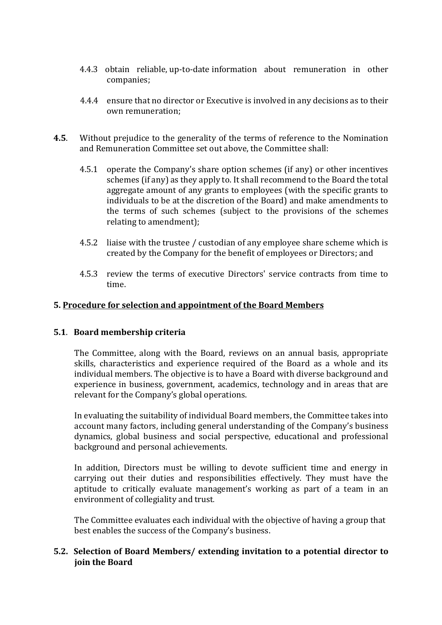- 4.4.3 obtain reliable, up-to-date information about remuneration in other companies;
- 4.4.4 ensure that no director or Executive is involved in any decisions as to their own remuneration;
- **4.5**. Without prejudice to the generality of the terms of reference to the Nomination and Remuneration Committee set out above, the Committee shall:
	- 4.5.1 operate the Company's share option schemes (if any) or other incentives schemes (if any) as they apply to. It shall recommend to the Board the total aggregate amount of any grants to employees (with the specific grants to individuals to be at the discretion of the Board) and make amendments to the terms of such schemes (subject to the provisions of the schemes relating to amendment);
	- 4.5.2 liaise with the trustee / custodian of any employee share scheme which is created by the Company for the benefit of employees or Directors; and
	- 4.5.3 review the terms of executive Directors' service contracts from time to time.

## **5. Procedure for selection and appointment of the Board Members**

#### **5.1**. **Board membership criteria**

The Committee, along with the Board, reviews on an annual basis, appropriate skills, characteristics and experience required of the Board as a whole and its individual members. The objective is to have a Board with diverse background and experience in business, government, academics, technology and in areas that are relevant for the Company's global operations.

In evaluating the suitability of individual Board members, the Committee takes into account many factors, including general understanding of the Company's business dynamics, global business and social perspective, educational and professional background and personal achievements.

In addition, Directors must be willing to devote sufficient time and energy in carrying out their duties and responsibilities effectively. They must have the aptitude to critically evaluate management's working as part of a team in an environment of collegiality and trust.

The Committee evaluates each individual with the objective of having a group that best enables the success of the Company's business.

## **5.2. Selection of Board Members/ extending invitation to a potential director to join the Board**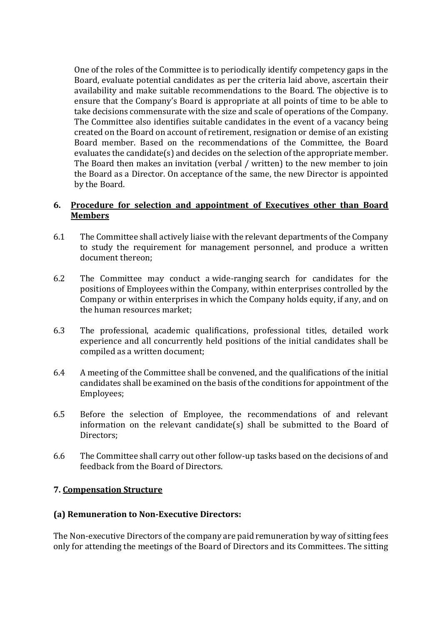One of the roles of the Committee is to periodically identify competency gaps in the Board, evaluate potential candidates as per the criteria laid above, ascertain their availability and make suitable recommendations to the Board. The objective is to ensure that the Company's Board is appropriate at all points of time to be able to take decisions commensurate with the size and scale of operations of the Company. The Committee also identifies suitable candidates in the event of a vacancy being created on the Board on account of retirement, resignation or demise of an existing Board member. Based on the recommendations of the Committee, the Board evaluates the candidate(s) and decides on the selection of the appropriate member. The Board then makes an invitation (verbal / written) to the new member to join the Board as a Director. On acceptance of the same, the new Director is appointed by the Board.

## **6. Procedure for selection and appointment of Executives other than Board Members**

- 6.1 The Committee shall actively liaise with the relevant departments of the Company to study the requirement for management personnel, and produce a written document thereon;
- 6.2 The Committee may conduct a wide-ranging search for candidates for the positions of Employees within the Company, within enterprises controlled by the Company or within enterprises in which the Company holds equity, if any, and on the human resources market;
- 6.3 The professional, academic qualifications, professional titles, detailed work experience and all concurrently held positions of the initial candidates shall be compiled as a written document;
- 6.4 A meeting of the Committee shall be convened, and the qualifications of the initial candidates shall be examined on the basis of the conditions for appointment of the Employees;
- 6.5 Before the selection of Employee, the recommendations of and relevant information on the relevant candidate(s) shall be submitted to the Board of Directors;
- 6.6 The Committee shall carry out other follow-up tasks based on the decisions of and feedback from the Board of Directors.

## **7. Compensation Structure**

## **(a) Remuneration to Non-Executive Directors:**

The Non-executive Directors of the company are paid remuneration by way of sitting fees only for attending the meetings of the Board of Directors and its Committees. The sitting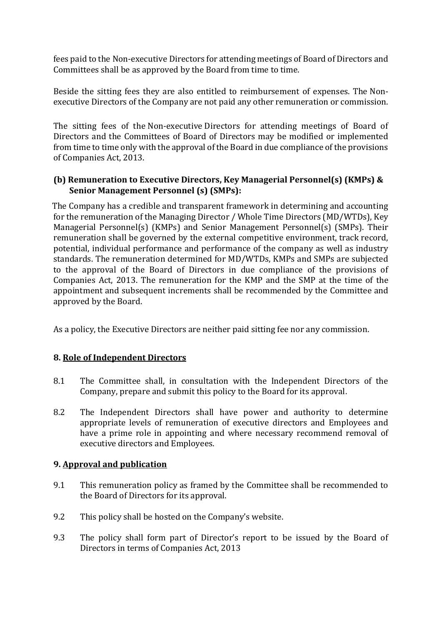fees paid to the Non-executive Directors for attending meetings of Board of Directors and Committees shall be as approved by the Board from time to time.

Beside the sitting fees they are also entitled to reimbursement of expenses. The Nonexecutive Directors of the Company are not paid any other remuneration or commission.

The sitting fees of the Non-executive Directors for attending meetings of Board of Directors and the Committees of Board of Directors may be modified or implemented from time to time only with the approval of the Board in due compliance of the provisions of Companies Act, 2013.

## **(b) Remuneration to Executive Directors, Key Managerial Personnel(s) (KMPs) & Senior Management Personnel (s) (SMPs):**

The Company has a credible and transparent framework in determining and accounting for the remuneration of the Managing Director / Whole Time Directors (MD/WTDs), Key Managerial Personnel(s) (KMPs) and Senior Management Personnel(s) (SMPs). Their remuneration shall be governed by the external competitive environment, track record, potential, individual performance and performance of the company as well as industry standards. The remuneration determined for MD/WTDs, KMPs and SMPs are subjected to the approval of the Board of Directors in due compliance of the provisions of Companies Act, 2013. The remuneration for the KMP and the SMP at the time of the appointment and subsequent increments shall be recommended by the Committee and approved by the Board.

As a policy, the Executive Directors are neither paid sitting fee nor any commission.

## **8. Role of Independent Directors**

- 8.1 The Committee shall, in consultation with the Independent Directors of the Company, prepare and submit this policy to the Board for its approval.
- 8.2 The Independent Directors shall have power and authority to determine appropriate levels of remuneration of executive directors and Employees and have a prime role in appointing and where necessary recommend removal of executive directors and Employees.

## **9. Approval and publication**

- 9.1 This remuneration policy as framed by the Committee shall be recommended to the Board of Directors for its approval.
- 9.2 This policy shall be hosted on the Company's website.
- 9.3 The policy shall form part of Director's report to be issued by the Board of Directors in terms of Companies Act, 2013